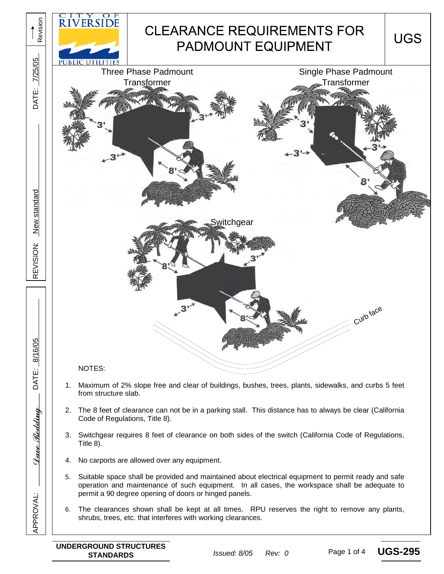

Page 1 of 4 **UGS-295**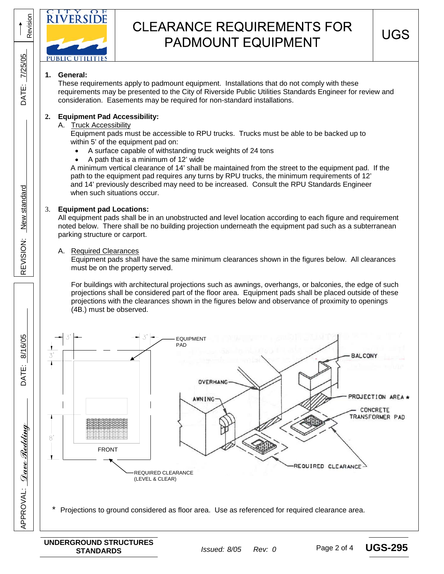

# **CLEARANCE REQUIREMENTS FOR PADMOUNT EQUIPMENT**

# **1. General:**

Revision

Revision

7/25/05

**DATE:** 

These requirements apply to padmount equipment. Installations that do not comply with these requirements may be presented to the City of Riverside Public Utilities Standards Engineer for review and consideration. Easements may be required for non-standard installations.

## **2. Equipment Pad Accessibility:**

#### A. Truck Accessibility

 Equipment pads must be accessible to RPU trucks. Trucks must be able to be backed up to within 5' of the equipment pad on:

- A surface capable of withstanding truck weights of 24 tons
- A path that is a minimum of 12' wide

 A minimum vertical clearance of 14' shall be maintained from the street to the equipment pad. If the path to the equipment pad requires any turns by RPU trucks, the minimum requirements of 12' and 14' previously described may need to be increased. Consult the RPU Standards Engineer when such situations occur.

### 3. **Equipment pad Locations:**

All equipment pads shall be in an unobstructed and level location according to each figure and requirement noted below. There shall be no building projection underneath the equipment pad such as a subterranean parking structure or carport.

#### A. Required Clearances

8/16/05

DATE:

<u>Dave Redding</u>

**APPROVAL:** 

APPROVAL: *Quee Redding* 125/05 DATE: 8/16/05 REVISION: New standard 1999 DATE: 7/25/05

REVISION:

New standard

Equipment pads shall have the same minimum clearances shown in the figures below. All clearances must be on the property served.

For buildings with architectural projections such as awnings, overhangs, or balconies, the edge of such projections shall be considered part of the floor area. Equipment pads shall be placed outside of these projections with the clearances shown in the figures below and observance of proximity to openings (4B.) must be observed.



Projections to ground considered as floor area. Use as referenced for required clearance area.

Page 2 of 4 **UGS-295**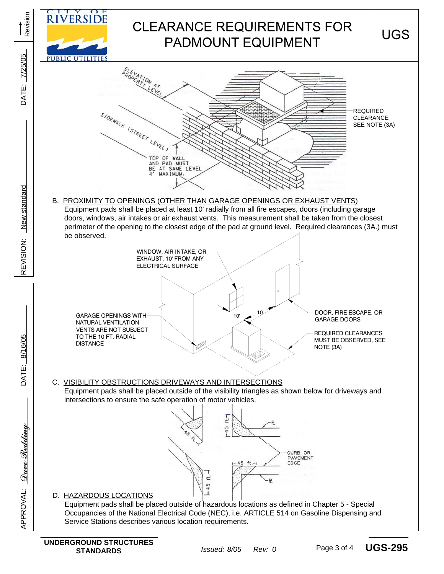

Page 3 of 4 **UGS-295**